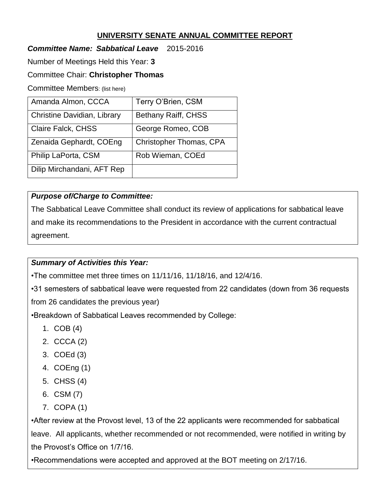## **UNIVERSITY SENATE ANNUAL COMMITTEE REPORT**

### *Committee Name: Sabbatical Leave* 2015-2016

Number of Meetings Held this Year: **3**

#### Committee Chair: **Christopher Thomas**

Committee Members: (list here)

| Amanda Almon, CCCA                 | Terry O'Brien, CSM             |
|------------------------------------|--------------------------------|
| <b>Christine Davidian, Library</b> | Bethany Raiff, CHSS            |
| Claire Falck, CHSS                 | George Romeo, COB              |
| Zenaida Gephardt, COEng            | <b>Christopher Thomas, CPA</b> |
| Philip LaPorta, CSM                | Rob Wieman, COEd               |
| Dilip Mirchandani, AFT Rep         |                                |

## *Purpose of/Charge to Committee:*

The Sabbatical Leave Committee shall conduct its review of applications for sabbatical leave and make its recommendations to the President in accordance with the current contractual agreement.

#### *Summary of Activities this Year:*

•The committee met three times on 11/11/16, 11/18/16, and 12/4/16.

•31 semesters of sabbatical leave were requested from 22 candidates (down from 36 requests from 26 candidates the previous year)

•Breakdown of Sabbatical Leaves recommended by College:

- 1. COB (4)
- 2. CCCA (2)
- 3. COEd (3)
- 4. COEng (1)
- 5. CHSS (4)
- 6. CSM (7)
- 7. COPA (1)

•After review at the Provost level, 13 of the 22 applicants were recommended for sabbatical leave. All applicants, whether recommended or not recommended, were notified in writing by the Provost's Office on 1/7/16.

•Recommendations were accepted and approved at the BOT meeting on 2/17/16.